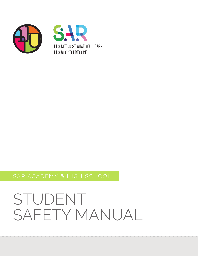

# STUDENT SAFETY MANUAL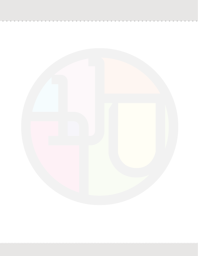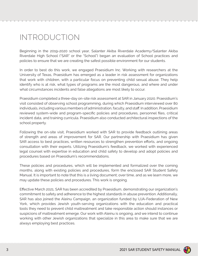## INTRODUCTION

Beginning in the 2019-2020 school year, Salanter Akiba Riverdale Academy/Salanter Akiba Riverdale High School ("SAR" or the "School") began an evaluation of School practices and policies to ensure that we are creating the safest possible environment for our students.

In order to best do this work, we engaged Praesidium Inc. Working with researchers at the University of Texas, Praesidium has emerged as a leader in risk assessment for organizations that work with children, with a particular focus on preventing child sexual abuse. They help identify who is at risk, what types of programs are the most dangerous, and where and under what circumstances incidents and false allegations are most likely to occur.

Praesidium completed a three-day on-site risk assessment at SAR in January 2020. Praesidium's visit consisted of observing school programming, during which Praesidium interviewed over 80 individuals, including various members of administration, faculty, and staff. In addition, Praesidium reviewed system-wide and program-specific policies and procedures, personnel files, critical incident data, and training curricula. Praesidium also conducted architectural inspections of the school property.

Following the on-site visit, Praesidium worked with SAR to provide feedback outlining areas of strength and areas of improvement for SAR. Our partnership with Praesidium has given SAR access to best practices, written resources to strengthen prevention efforts, and ongoing consultation with their experts. Utilizing Praesidium's feedback, we worked with experienced legal counsel with expertise in education and child safety to develop and adopt policies and procedures based on Praesidium's recommendations.

These policies and procedures, which will be implemented and formalized over the coming months, along with existing policies and procedures, form the enclosed SAR Student Safety Manual. It is important to note that this is a living document; over time, and as we learn more, we may update these policies and procedures. This work is ongoing.

Effective March 2021, SAR has been accredited by Praesidium, demonstrating our organization's commitment to safety and adherence to the highest standards in abuse prevention. Additionally, SAR has also joined the Aleinu Campaign, an organization funded by UJA-Federation of New York, which provides Jewish youth-serving organizations with the education and practical tools they need to prevent child maltreatment and take responsible action should instances or suspicions of maltreatment emerge. Our work with Aleinu is ongoing, and we intend to continue working with other Jewish organizations that specialize in this area to make sure that we are always employing best practices.

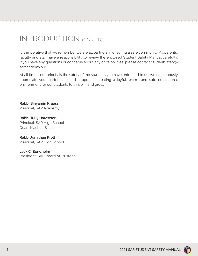## INTRODUCTION (CONT'D)

It is imperative that we remember we are all partners in ensuring a safe community. All parents, faculty and staff have a responsibility to review the enclosed Student Safety Manual carefully. If you have any questions or concerns about any of its policies, please contact StudentSafety@ saracademy.org.

At all times, our priority is the safety of the students you have entrusted to us. We continuously appreciate your partnership and support in creating a joyful, warm, and safe educational environment for our students to thrive in and grow.

**Rabbi Binyamin Krauss** Principal, SAR Academy

**Rabbi Tully Harcsztark** Principal, SAR High School Dean, Machon Siach

**Rabbi Jonathan Kroll** Principal, SAR High School

**Jack C. Bendheim** President, SAR Board of Trustees

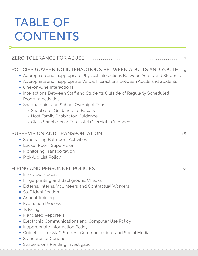# TABLE OF **CONTENTS**

### ZERO TOLERANCE FOR ABUSE. 7

### POLICIES GOVERNING INTERACTIONS BETWEEN ADULTS AND YOUTH ... 9

- **Appropriate and Inappropriate Physical Interactions Between Adults and Students**
- **Appropriate and Inappropriate Verbal Interactions Between Adults and Students**
- One-on-One Interactions
- **Interactions Between Staff and Students Outside of Regularly Scheduled** Program Activities
- **Shabbatonim and School Overnight Trips** 
	- Shabbaton Guidance for Faculty
	- **Host Family Shabbaton Guidance**
	- **Class Shabbaton / Trip Hotel Overnight Guidance**

### SUPERVISION AND TRANSPORTATION. 18

- **Supervising Bathroom Activities**
- **Locker Room Supervision**
- **Monitoring Transportation**
- **Pick-Up List Policy**

### HIRING AND PERSONNEL POLICIES. 22

- **Interview Process**
- **Fingerprinting and Background Checks**
- **Externs, Interns, Volunteers and Contractual Workers**
- **Staff Identification**
- **Annual Training**
- **Evaluation Process**
- **Tutoring**
- **Mandated Reporters**
- **Electronic Communications and Computer Use Policy**
- **Inappropriate Information Policy**
- Guidelines for Staff-Student Communications and Social Media
- **Standards of Conduct**
- **Suspensions Pending Investigation**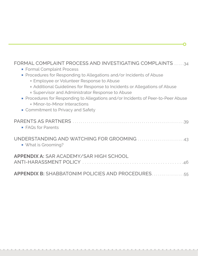### FORMAL COMPLAINT PROCESS AND INVESTIGATING COMPLAINTS .....34

- **Formal Complaint Process**
- **Procedures for Responding to Allegations and/or Incidents of Abuse** 
	- **Employee or Volunteer Response to Abuse**
	- Additional Guidelines for Response to Incidents or Allegations of Abuse
	- Supervisor and Administrator Response to Abuse

| • Procedures for Responding to Allegations and/or Incidents of Peer-to-Peer Abuse |  |
|-----------------------------------------------------------------------------------|--|
| • Minor-to-Minor Interactions                                                     |  |

Commitment to Privacy and Safety

| • FAQs for Parents                             |  |
|------------------------------------------------|--|
| ■ What is Grooming?                            |  |
| <b>APPENDIX A: SAR ACADEMY/SAR HIGH SCHOOL</b> |  |

**APPENDIX B:** SHABBATONIM POLICIES AND PROCEDURES. . . . . . . . . . . . . . 55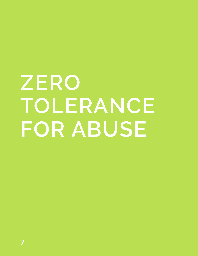# **ZERO TOLERANCE FOR ABUSE**

**7**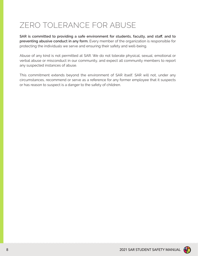## ZERO TOLERANCE FOR ABUSE

**SAR is committed to providing a safe environment for students, faculty, and staff, and to preventing abusive conduct in any form.** Every member of the organization is responsible for protecting the individuals we serve and ensuring their safety and well-being.

Abuse of any kind is not permitted at SAR. We do not tolerate physical, sexual, emotional or verbal abuse or misconduct in our community, and expect all community members to report any suspected instances of abuse.

This commitment extends beyond the environment of SAR itself. SAR will not, under any circumstances, recommend or serve as a reference for any former employee that it suspects or has reason to suspect is a danger to the safety of children.

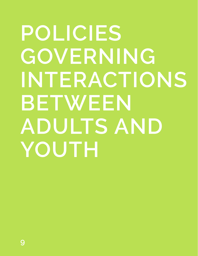# **POLICIES GOVERNING INTERACTIONS BETWEEN ADULTS AND YOUTH**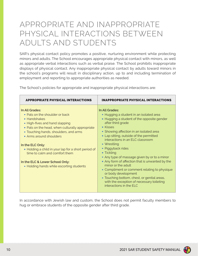## APPROPRIATE AND INAPPROPRIATE PHYSICAL INTERACTIONS BETWEEN ADULTS AND STUDENTS

SAR's physical contact policy promotes a positive, nurturing environment while protecting minors and adults. The School encourages appropriate physical contact with minors, as well as appropriate verbal interactions such as verbal praise. The School prohibits inappropriate displays of physical contact. Any inappropriate physical contact by adults toward minors in the school's programs will result in disciplinary action, up to and including termination of employment and reporting to appropriate authorities as needed.

| <b>APPROPRIATE PHYSICAL INTERACTIONS</b>                                                                                                                                                                                                                                                                                                                                                                                        | <b>INAPPROPRIATE PHYSICAL INTERACTIONS</b>                                                                                                                                                                                                                                                                                                                                                                                                                                                                                                                                                                                                                          |
|---------------------------------------------------------------------------------------------------------------------------------------------------------------------------------------------------------------------------------------------------------------------------------------------------------------------------------------------------------------------------------------------------------------------------------|---------------------------------------------------------------------------------------------------------------------------------------------------------------------------------------------------------------------------------------------------------------------------------------------------------------------------------------------------------------------------------------------------------------------------------------------------------------------------------------------------------------------------------------------------------------------------------------------------------------------------------------------------------------------|
| In All Grades:<br>• Pats on the shoulder or back<br>$\blacksquare$ Handshakes<br>• High-fives and hand slapping<br>• Pats on the head, when culturally appropriate<br>• Touching hands, shoulders, and arms<br>Arms around shoulders<br>In the ELC Only:<br>• Holding a child in your lap for a short period of<br>time to calm and comfort them<br>In the ELC & Lower School Only:<br>• Holding hands while escorting students | In All Grades:<br>• Hugging a student in an isolated area<br>• Hugging a student of the opposite gender<br>after third grade<br>$\blacksquare$ Kisses<br>• Showing affection in an isolated area<br>• Lap sitting, outside of the permitted<br>interactions in an ELC classroom<br>• Wrestling<br>• Piggyback rides<br>$\blacksquare$ Tickling<br>Any type of massage given by or to a minor<br>• Any form of affection that is unwanted by the<br>minor or the adult<br>• Compliment or comment relating to physique<br>or body development<br>· Touching bottom, chest, or genital areas,<br>with the exception of necessary toileting<br>interactions in the ELC |

The School's policies for appropriate and inappropriate physical interactions are:

In accordance with Jewish law and custom, the School does not permit faculty members to hug or embrace students of the opposite gender after third grade.

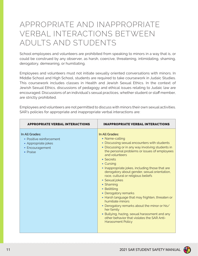## APPROPRIATE AND INAPPROPRIATE VERBAL INTERACTIONS BETWEEN ADULTS AND STUDENTS

School employees and volunteers are prohibited from speaking to minors in a way that is, or could be construed by any observer, as harsh, coercive, threatening, intimidating, shaming, derogatory, demeaning, or humiliating.

Employees and volunteers must not initiate sexually oriented conversations with minors. In Middle School and High School, students are required to take coursework in Judaic Studies. This coursework includes classes in Health and Jewish Sexual Ethics. In the context of Jewish Sexual Ethics, discussions of pedagogy and ethical issues relating to Judaic law are encouraged. Discussions of an individual's sexual practices, whether student or staff member, are strictly prohibited.

Employees and volunteers are not permitted to discuss with minors their own sexual activities. SAR's policies for appropriate and inappropriate verbal interactions are:

| <b>APPROPRIATE VERBAL INTERACTIONS</b>                                                                        | <b>INAPPROPRIATE VERBAL INTERACTIONS</b>                                                                                                                                                                                                                                                                                                                                                                                                                                                                                                                                                                                                                                                                             |
|---------------------------------------------------------------------------------------------------------------|----------------------------------------------------------------------------------------------------------------------------------------------------------------------------------------------------------------------------------------------------------------------------------------------------------------------------------------------------------------------------------------------------------------------------------------------------------------------------------------------------------------------------------------------------------------------------------------------------------------------------------------------------------------------------------------------------------------------|
| In All Grades:<br>• Positive reinforcement<br>• Appropriate jokes<br>• Encouragement<br>$\blacksquare$ Praise | In All Grades:<br>• Name-calling<br>• Discussing sexual encounters with students<br>• Discussing or in any way involving students in<br>the personal problems or issues of employees<br>and volunteers<br>• Secrets<br>• Cursing<br>• Inappropriate jokes, including those that are<br>derogatory about gender, sexual orientation,<br>race, cultural or religious beliefs<br>• Sexual jokes<br>• Shaming<br><b>Belittling</b><br>• Derogatory remarks<br>Harsh language that may frighten, threaten or<br>humiliate minors<br>• Derogatory remarks about the minor or his/<br>her family<br>• Bullying, hazing, sexual harassment and any<br>other behavior that violates the SAR Anti-<br><b>Harassment Policy</b> |

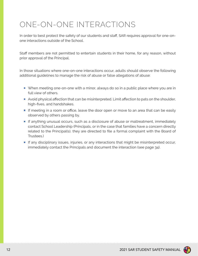# ONE-ON-ONE INTERACTIONS

In order to best protect the safety of our students and staff, SAR requires approval for one-onone interactions outside of the School.

Staff members are not permitted to entertain students in their home, for any reason, without prior approval of the Principal.

In those situations where one-on-one interactions occur, adults should observe the following additional guidelines to manage the risk of abuse or false allegations of abuse:

- When meeting one-on-one with a minor, always do so in a public place where you are in full view of others.
- Avoid physical affection that can be misinterpreted. Limit affection to pats on the shoulder, high-fives, and handshakes.
- If meeting in a room or office, leave the door open or move to an area that can be easily observed by others passing by.
- If anything unusual occurs, such as a disclosure of abuse or maltreatment, immediately contact School Leadership (Principals, or in the case that families have a concern directly related to the Principal(s), they are directed to file a formal complaint with the Board of Trustees.)
- **•** If any disciplinary issues, injuries, or any interactions that might be misinterpreted occur, immediately contact the Principals and document the interaction (see page 34).

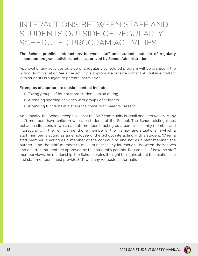## INTERACTIONS BETWEEN STAFF AND STUDENTS OUTSIDE OF REGULARLY SCHEDULED PROGRAM ACTIVITIES

### **The School prohibits interactions between staff and students outside of regularly scheduled program activities unless approved by School Administration.**

Approval of any activities outside of a regularly scheduled program will be granted if the School Administration feels the activity is appropriate outside contact. All outside contact with students is subject to parental permission.

#### **Examples of appropriate outside contact include:**

- Taking groups of four or more students on an outing.
- Attending sporting activities with groups of students.
- Attending functions at a student's home, with parents present.

Additionally, the School recognizes that the SAR community is small and interwoven. Many staff members have children who are students at the School. The School distinguishes between situations in which a staff member is acting as a parent or family member and interacting with their child's friend or a member of their family, and situations in which a staff member is acting as an employee of the School interacting with a student. When a staff member is acting as a member of the community, and not as a staff member, the burden is on the staff member to make sure that any interactions between themselves and a current student are approved by that student's parents. Regardless of how the staff member views the relationship, the School retains the right to inquire about the relationship and staff members must provide SAR with any requested information.

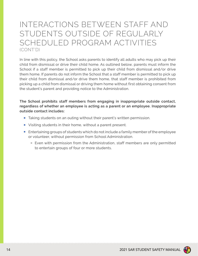## INTERACTIONS BETWEEN STAFF AND STUDENTS OUTSIDE OF REGULARLY SCHEDULED PROGRAM ACTIVITIES (CONT'D)

In line with this policy, the School asks parents to identify all adults who may pick up their child from dismissal or drive their child home. As outlined below, parents must inform the School if a staff member is permitted to pick up their child from dismissal and/or drive them home. If parents do not inform the School that a staff member is permitted to pick up their child from dismissal and/or drive them home, that staff member is prohibited from picking up a child from dismissal or driving them home without first obtaining consent from the student's parent and providing notice to the Administration.

**The School prohibits staff members from engaging in inappropriate outside contact, regardless of whether an employee is acting as a parent or an employee. Inappropriate outside contact includes:**

- Taking students on an outing without their parent's written permission.
- Visiting students in their home, without a parent present.
- $\blacksquare$  Entertaining groups of students which do not include a family member of the employee or volunteer, without permission from School Administration.
	- Even with permission from the Administration, staff members are only permitted to entertain groups of four or more students.

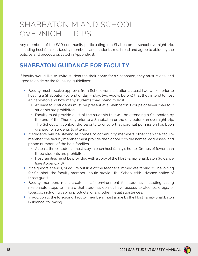## SHABBATONIM AND SCHOOL OVERNIGHT TRIPS

Any members of the SAR community participating in a Shabbaton or school overnight trip, including host families, faculty members, and students, must read and agree to abide by the policies and procedures listed in Appendix B.

## **SHABBATON GUIDANCE FOR FACULTY**

If faculty would like to invite students to their home for a Shabbaton, they must review and agree to abide by the following guidelines:

- Faculty must receive approval from School Administration at least two weeks prior to hosting a Shabbaton (by end of day Friday, two weeks before) that they intend to host a Shabbaton and how many students they intend to host.
	- At least four students must be present at a Shabbaton. Groups of fewer than four students are prohibited.
	- $\blacksquare$  Faculty must provide a list of the students that will be attending a Shabbaton by the end of the Thursday prior to a Shabbaton or the day before an overnight trip. The School will contact the parents to ensure that parental permission has been granted for students to attend.
- If students will be staying at homes of community members other than the faculty member, the faculty member must provide the School with the names, addresses, and phone numbers of the host families.
	- At least three students must stay in each host family's home. Groups of fewer than three students are prohibited.
	- Host families must be provided with a copy of the Host Family Shabbaton Guidance (see Appendix B).
- If neighbors, friends, or adults outside of the teacher's immediate family will be joining for Shabbat, the faculty member should provide the School with advance notice of those guests.
- Faculty members must create a safe environment for students, including taking reasonable steps to ensure that students do not have access to alcohol, drugs, or tobacco, including vaping products, or any other illegal substances.
- In addition to the foregoing, faculty members must abide by the Host Family Shabbaton Guidance, following.

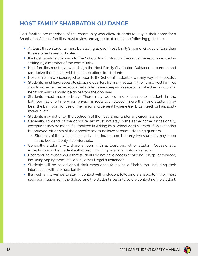## **HOST FAMILY SHABBATON GUIDANCE**

Host families are members of the community who allow students to stay in their home for a Shabbaton. All host families must review and agree to abide by the following guidelines:

- At least three students must be staying at each host family's home. Groups of less than three students are prohibited.
- If a host family is unknown to the School Administration, they must be recommended in writing by a member of the community.
- Host families must review and sign the Host Family Shabbaton Guidance document and familiarize themselves with the expectations for students.
- Host families are encouraged to report to the School if students are in any way disrespectful.
- Students must have separate sleeping quarters from any adults in the home. Host families should not enter the bedroom that students are sleeping in except to wake them or monitor behavior, which should be done from the doorway.
- **B** Students must have privacy. There may be no more than one student in the bathroom at one time when privacy is required; however, more than one student may be in the bathroom for use of the mirror and general hygiene (i.e., brush teeth or hair, apply makeup, etc.).
- Students may not enter the bedroom of the host family under any circumstances.
- Generally, students of the opposite sex must not stay in the same home. Occasionally, exceptions may be made if authorized in writing by a School Administrator. If an exception is approved, students of the opposite sex must have separate sleeping quarters.
	- Students of the same sex may share a double bed, but only two students may sleep in the bed, and only if comfortable.
- Generally, students will share a room with at least one other student. Occasionally, exceptions may be made if authorized in writing by a School Administrator.
- Host families must ensure that students do not have access to alcohol, drugs, or tobacco, including vaping products, or any other illegal substances.
- Students will be asked about their experience following a Shabbaton, including their interactions with the host family.
- If a host family wishes to stay in contact with a student following a Shabbaton, they must seek permission from the School and the student's parents before contacting the student.

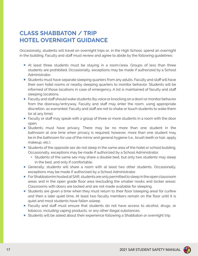## **CLASS SHABBATON / TRIP HOTEL OVERNIGHT GUIDANCE**

Occasionally, students will travel on overnight trips or, in the High School, spend an overnight in the building. Faculty and staff must review and agree to abide by the following guidelines:

- At least three students must be staying in a room/area. Groups of less than three students are prohibited. Occasionally, exceptions may be made if authorized by a School Administrator.
- Students must have separate sleeping quarters from any adults. Faculty and staff will have their own hotel rooms or nearby sleeping quarters to monitor behavior. Students will be informed of those locations in case of emergency. A list is maintained of faculty and staff sleeping locations.
- Faculty and staff should wake students (by voice or knocking on a door) or monitor behavior from the doorway/entryway. Faculty and staff may enter the room, using appropriate discretion, as warranted. Faculty and staff are not to shake or touch students to wake them (or at any time).
- Faculty or staff may speak with a group of three or more students in a room with the door open.
- **B** Students must have privacy. There may be no more than one student in the bathroom at one time when privacy is required; however, more than one student may be in the bathroom for use of the mirror and general hygiene (i.e., brush teeth or hair, apply makeup, etc.).
- Students of the opposite sex do not sleep in the same area of the hotel or school building. Occasionally, exceptions may be made if authorized by a School Administrator.
	- Students of the same sex may share a double bed, but only two students may sleep in the bed, and only if comfortable.
- **Generally, students will share a room with at least two other students. Occasionally,** exceptions may be made if authorized by a School Administrator.
- For Shabbatonim hosted at SAR, students are only permitted to sleep in the open classroom areas and in the open grade floor area (excluding the smaller nooks and locker areas). Classrooms with doors are locked and are not made available for sleeping.
- Students are given a time when they must return to their floor (sleeping area) for curfew and then a later quiet time. At least two faculty members remain on the floor until it is quiet and most students have fallen asleep.
- Faculty and staff must ensure that students do not have access to alcohol, drugs, or tobacco, including vaping products, or any other illegal substances.
- Students will be asked about their experience following a Shabbaton or overnight trip.

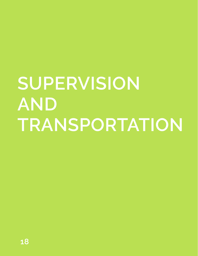# **SUPERVISION AND TRANSPORTATION**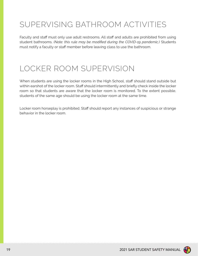## SUPERVISING BATHROOM ACTIVITIES

Faculty and staff must only use adult restrooms. All staff and adults are prohibited from using student bathrooms. *(Note: this rule may be modified during the COVID-19 pandemic.)* Students must notify a faculty or staff member before leaving class to use the bathroom.

## LOCKER ROOM SUPERVISION

When students are using the locker rooms in the High School, staff should stand outside but within earshot of the locker room. Staff should intermittently and briefly check inside the locker room so that students are aware that the locker room is monitored. To the extent possible, students of the same age should be using the locker room at the same time.

Locker room horseplay is prohibited. Staff should report any instances of suspicious or strange behavior in the locker room.

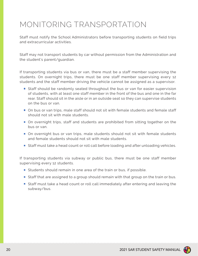# MONITORING TRANSPORTATION

Staff must notify the School Administrators before transporting students on field trips and extracurricular activities.

Staff may not transport students by car without permission from the Administration and the student's parent/guardian.

If transporting students via bus or van, there must be a staff member supervising the students. On overnight trips, there must be one staff member supervising every 12 students and the staff member driving the vehicle cannot be assigned as a supervisor.

- Staff should be randomly seated throughout the bus or van for easier supervision of students, with at least one staff member in the front of the bus and one in the far rear. Staff should sit in the aisle or in an outside seat so they can supervise students on the bus or van.
- On bus or van trips, male staff should not sit with female students and female staff should not sit with male students.
- On overnight trips, staff and students are prohibited from sitting together on the bus or van.
- On overnight bus or van trips, male students should not sit with female students and female students should not sit with male students.
- Staff must take a head count or roll call before loading and after unloading vehicles.

If transporting students via subway or public bus, there must be one staff member supervising every 12 students.

- Students should remain in one area of the train or bus, if possible.
- Staff that are assigned to a group should remain with that group on the train or bus.
- Staff must take a head count or roll call immediately after entering and leaving the subway/bus.

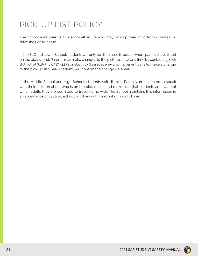# PICK-UP LIST POLICY

The School asks parents to identify all adults who may pick up their child from dismissal or drive their child home.

In the ELC and Lower School, students will only be dismissed to adults whom parents have listed on the pick-up list. Parents may make changes to the pick-up list at any time by contacting Seth Botnick at 718-548-1717 x1233 or sbotnick@saracademy.org. If a parent calls to make a change to the pick-up list, SAR Academy will confirm the change via email.

In the Middle School and High School, students self-dismiss. Parents are expected to speak with their children about who is on the pick-up list and make sure that students are aware of which adults they are permitted to travel home with. The School maintains this information in an abundance of caution, although it does not monitor it on a daily basis.

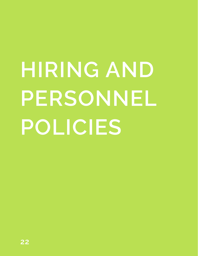# **HIRING AND PERSONNEL POLICIES**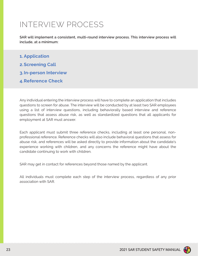## INTERVIEW PROCESS

**SAR will implement a consistent, multi-round interview process. This interview process will include, at a minimum:**

- **1. Application 2.Screening Call 3.In-person Interview**
- **4.Reference Check**

Any individual entering the interview process will have to complete an application that includes questions to screen for abuse. The interview will be conducted by at least two SAR employees using a list of interview questions, including behaviorally based interview and reference questions that assess abuse risk, as well as standardized questions that all applicants for employment at SAR must answer.

Each applicant must submit three reference checks, including at least one personal, nonprofessional reference. Reference checks will also include behavioral questions that assess for abuse risk, and references will be asked directly to provide information about the candidate's experience working with children, and any concerns the reference might have about the candidate continuing to work with children.

SAR may get in contact for references beyond those named by the applicant.

All individuals must complete each step of the interview process, regardless of any prior association with SAR.

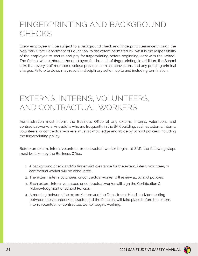## FINGERPRINTING AND BACKGROUND CHECKS

Every employee will be subject to a background check and fingerprint clearance through the New York State Department of Education, to the extent permitted by law. It is the responsibility of the employee to secure and pay for fingerprinting before beginning work with the School. The School will reimburse the employee for the cost of fingerprinting. In addition, the School asks that every staff member disclose previous criminal convictions and any pending criminal charges. Failure to do so may result in disciplinary action, up to and including termination.

## EXTERNS, INTERNS, VOLUNTEERS, AND CONTRACTUAL WORKERS

Administration must inform the Business Office of any externs, interns, volunteers, and contractual workers. Any adults who are frequently in the SAR building, such as externs, interns, volunteers, or contractual workers, must acknowledge and abide by School policies, including the fingerprinting policy.

Before an extern, intern, volunteer, or contractual worker begins at SAR, the following steps must be taken by the Business Office:

- 1. A background check and/or fingerprint clearance for the extern, intern, volunteer, or contractual worker will be conducted.
- 2. The extern, intern, volunteer, or contractual worker will review all School policies.
- 3. Each extern, intern, volunteer, or contractual worker will sign the Certification & Acknowledgment of School Policies.
- 4. A meeting between the extern/intern and the Department Head, and/or meeting between the volunteer/contractor and the Principal will take place before the extern, intern, volunteer, or contractual worker begins working.

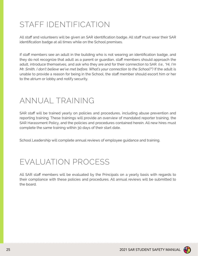# STAFF IDENTIFICATION

All staff and volunteers will be given an SAR identification badge. All staff must wear their SAR identification badge at all times while on the School premises.

If staff members see an adult in the building who is not wearing an identification badge, and they do not recognize that adult as a parent or guardian, staff members should approach the adult, introduce themselves, and ask who they are and for their connection to SAR. *(i.e., "Hi, I'm Mr. Smith, I don't believe we've met before. What's your connection to the School?")* If the adult is unable to provide a reason for being in the School, the staff member should escort him or her to the atrium or lobby and notify security.

## ANNUAL TRAINING

SAR staff will be trained yearly on policies and procedures, including abuse prevention and reporting training. These trainings will provide an overview of mandated reporter training, the SAR Harassment Policy, and the policies and procedures contained herein. All new hires must complete the same training within 30 days of their start date.

School Leadership will complete annual reviews of employee guidance and training.

## EVALUATION PROCESS

All SAR staff members will be evaluated by the Principals on a yearly basis with regards to their compliance with these policies and procedures. All annual reviews will be submitted to the board.

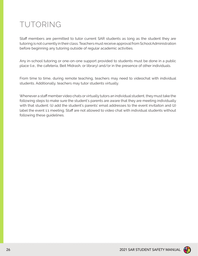## TUTORING

Staff members are permitted to tutor current SAR students as long as the student they are tutoring is not currently in their class. Teachers must receive approval from School Administration before beginning any tutoring outside of regular academic activities.

Any in-school tutoring or one-on-one support provided to students must be done in a public place (i.e., the cafeteria, Beit Midrash, or library) and/or in the presence of other individuals.

From time to time, during remote teaching, teachers may need to videochat with individual students. Additionally, teachers may tutor students virtually.

Whenever a staff member video chats or virtually tutors an individual student, they must take the following steps to make sure the student's parents are aware that they are meeting individually with that student: (1) add the student's parents' email addresses to the event invitaiton and (2) label the event 1:1 meeting. Staff are not allowed to video chat with individual students without following these guidelines.

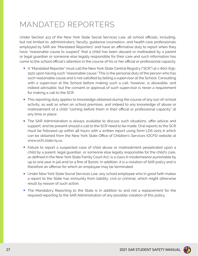## MANDATED REPORTERS

Under Section 413 of the New York State Social Services Law, all school officials, including, but not limited to, administrators, faculty, guidance counselors, and health care professionals employed by SAR are "Mandated Reporters" and have an affirmative duty to report when they have "reasonable cause to suspect" that a child has been abused or maltreated by a parent or legal guardian or someone else legally responsible for their care and such information has come to the school official's attention in the course of his or her official or professional capacity.

- A "Mandated Reporter" must call the New York State Central Registry ("SCR") at 1-800-635-1522 upon having such "reasonable cause." This is the personal duty of the person who has such reasonable cause and is not satisfied by telling a supervisor at the School. Consulting with a supervisor at the School before making such a call, however, is allowable, and indeed advisable, but the consent or approval of such supervisor is never a requirement for making a call to the SCR.
- This reporting duty applies to knowledge obtained during the course of any out-of-school activity, as well as when on school premises, and indeed to any knowledge of abuse or maltreatment of a child "coming before them in their official or professional capacity" at any time or place.
- The SAR Administration is always available to discuss such situations, offer advice and support, and be present should a call to the SCR need to be made. Oral reports to the SCR must be followed up within 48 hours with a written report using form LDS-2221-A which can be obtained from the New York State Office of Children's Services (OCFS) website at www.ocfs.state.ny.us.
- Failure to report a suspected case of child abuse or maltreatment perpetrated upon a child by a parent, legal guardian, or someone else legally responsible for the child's care, as defined in the New York State Family Court Act, is a class A misdemeanor punishable by up to one year in jail and/or a fine of \$1000. In addition, it is a violation of SAR policy and is therefore an offense for which an employee may be terminated.
- Under New York State Social Services Law, any school employee who in good faith makes a report to the State has immunity from liability, civil or criminal, which might otherwise result by reason of such action.
- The Mandatory Reporting to the State is in addition to and not a replacement for the required reporting to the SAR Administration of any possible violation of this policy.

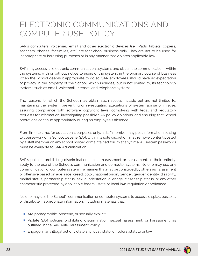## ELECTRONIC COMMUNICATIONS AND COMPUTER USE POLICY

SAR's computers, voicemail, email and other electronic devices (i.e., iPads, tablets, copiers, scanners, phones, facsimiles, etc.) are for School business only. They are not to be used for inappropriate or harassing purposes or in any manner that violates applicable law.

SAR may access its electronic communications systems and obtain the communications within the systems, with or without notice to users of the system, in the ordinary course of business when the School deems it appropriate to do so. SAR employees should have no expectation of privacy in the property of the School, which includes, but is not limited to, its technology systems such as email, voicemail, internet, and telephone systems.

The reasons for which the School may obtain such access include but are not limited to: maintaining the system; preventing or investigating allegations of system abuse or misuse; assuring compliance with software copyright laws; complying with legal and regulatory requests for information; investigating possible SAR policy violations; and ensuring that School operations continue appropriately during an employee's absence.

From time to time, for educational purposes only, a staff member may post information relating to coursework on a School website. SAR, within its sole discretion, may remove content posted by a staff member on any school hosted or maintained forum at any time. All system passwords must be available to SAR Administration.

SAR's policies prohibiting discrimination, sexual harassment or harassment, in their entirety, apply to the use of the School's communication and computer systems. No one may use any communication or computer system in a manner that may be construed by others as harassment or offensive based on age, race, creed, color, national origin, gender, gender identity, disability, marital status, partnership status, sexual orientation, alienage, citizenship status, or any other characteristic protected by applicable federal, state or local law, regulation or ordinance.

No one may use the School's communication or computer systems to access, display, possess, or distribute inappropriate information, including materials that:

- $\blacksquare$  Are pornographic, obscene, or sexually explicit
- Violate SAR policies prohibiting discrimination, sexual harassment, or harassment, as outlined in the SAR Anti-Harassment Policy
- Engage in any illegal act or violate any local, state, or federal statute or law

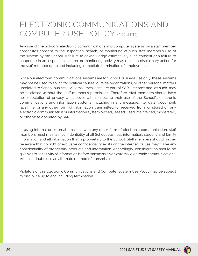## ELECTRONIC COMMUNICATIONS AND COMPUTER USE POLICY (CONT'D)

Any use of the School's electronic communications and computer systems by a staff member constitutes consent to the inspection, search, or monitoring of such staff member's use of the system by the School. A failure to acknowledge affirmatively such consent or a failure to cooperate in an inspection, search, or monitoring activity may result in disciplinary action for the staff member up to and including immediate termination of employment.

Since our electronic communications systems are for School business use only, these systems may not be used to solicit for political causes, outside organizations, or other personal matters unrelated to School business. All email messages are part of SAR's records and, as such, may be disclosed without the staff member's permission. Therefore, staff members should have no expectation of privacy whatsoever with respect to their use of the School's electronic communications and information systems, including in any message, file, data, document, facsimile, or any other form of information transmitted to, received from, or stored on any electronic communication or information system owned, leased, used, maintained, moderated, or otherwise operated by SAR.

In using internal or external email, as with any other form of electronic communication, staff members must maintain confidentiality of all School business information, student, and family information and all information that is proprietary to the School. Staff members should further be aware that no right of exclusive confidentiality exists on the Internet. Its use may waive any confidentiality of proprietary products and information. Accordingly, consideration should be given as to sensitivity of information before transmission on external electronic communications. When in doubt, use an alternate method of transmission.

Violators of this Electronic Communications and Computer System Use Policy may be subject to discipline up to and including termination.

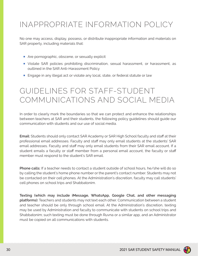# INAPPROPRIATE INFORMATION POLICY

No one may access, display, possess, or distribute inappropriate information and materials on SAR property, including materials that:

- Are pornographic, obscene, or sexually explicit
- Violate SAR policies prohibiting discrimination, sexual harassment, or harassment, as outlined in the SAR Anti-Harassment Policy
- Engage in any illegal act or violate any local, state, or federal statute or law

## GUIDELINES FOR STAFF-STUDENT COMMUNICATIONS AND SOCIAL MEDIA

In order to clearly mark the boundaries so that we can protect and enhance the relationships between teachers at SAR and their students, the following policy guidelines should guide our communication with students and our use of social media.

**Email:** Students should only contact SAR Academy or SAR High School faculty and staff at their professional email addresses. Faculty and staff may only email students at the students' SAR email addresses. Faculty and staff may only email students from their SAR email account. If a student emails a faculty or staff member from a personal email account, the faculty or staff member must respond to the student's SAR email.

**Phone calls:** If a teacher needs to contact a student outside of school hours, he/she will do so by calling the student's home phone number or the parent's contact number. Students may not be contacted on their cell phones. At the Administration's discretion, faculty may call students' cell phones on school trips and Shabbatonim.

**Texting (which may include iMessage, WhatsApp, Google Chat, and other messaging platforms):** Teachers and students may not text each other. Communication between a student and teacher should be only through school email. At the Administration's discretion, texting may be used by Administration and faculty to communicate with students on school trips and Shabbatonim; such texting must be done through Ruvna or a similar app, and an Administrator must be copied on all communications with students.

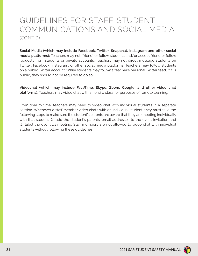## GUIDELINES FOR STAFF-STUDENT COMMUNICATIONS AND SOCIAL MEDIA (CONT'D)

**Social Media (which may include Facebook, Twitter, Snapchat, Instagram and other social media platforms):** Teachers may not "friend" or follow students and/or accept friend or follow requests from students or private accounts. Teachers may not direct message students on Twitter, Facebook, Instagram, or other social media platforms. Teachers may follow students on a public Twitter account. While students may follow a teacher's personal Twitter feed, if it is public, they should not be required to do so.

**Videochat (which may include FaceTime, Skype, Zoom, Google, and other video chat platforms):** Teachers may video chat with an entire class for purposes of remote learning.

From time to time, teachers may need to video chat with individual students in a separate session. Whenever a staff member video chats with an individual student, they must take the following steps to make sure the student's parents are aware that they are meeting individually with that student: (1) add the student's parents' email addresses to the event invitation and (2) label the event 1:1 meeting. Staff members are not allowed to video chat with individual students without following these guidelines.

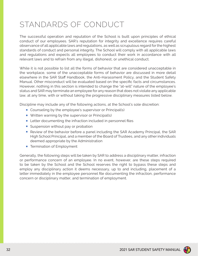## STANDARDS OF CONDUCT

The successful operation and reputation of the School is built upon principles of ethical conduct of our employees. SAR's reputation for integrity and excellence requires careful observance of all applicable laws and regulations, as well as scrupulous regard for the highest standards of conduct and personal integrity. The School will comply with all applicable laws and regulations and expects all employees to conduct their work in accordance with all relevant laws and to refrain from any illegal, dishonest, or unethical conduct.

While it is not possible to list all the forms of behavior that are considered unacceptable in the workplace, some of the unacceptable forms of behavior are discussed in more detail elsewhere in the SAR Staff Handbook, the Anti-Harassment Policy, and the Student Safety Manual. Other misconduct will be evaluated based on the specific facts and circumstances. However, nothing in this section is intended to change the "at-will" nature of the employee's status and SAR may terminate an employee for any reason that does not violate any applicable law, at any time, with or without taking the progressive disciplinary measures listed below.

Discipline may include any of the following actions, at the School's sole discretion:

- Counseling by the employee's supervisor or Principal(s)
- Written warning by the supervisor or Principal(s)
- $\blacksquare$  Letter documenting the infraction included in personnel files
- Suspension without pay or probation
- Review of the behavior before a panel including the SAR Academy Principal, the SAR High School Principal, and a member of the Board of Trustees, and any other individuals deemed appropriate by the Administration
- Termination of Employment

Generally, the following steps will be taken by SAR to address a disciplinary matter, infraction or performance concern of an employee. In no event, however, are these steps required to be taken by the School and the School reserves the right to bypass these steps and employ any disciplinary action it deems necessary, up to and including, placement of a letter immediately in the employee personnel file documenting the infraction, performance concern or disciplinary matter, and termination of employment.

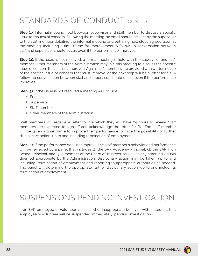# STANDARDS OF CONDUCT (CONT'D)

**Step (1):** Informal meeting held between supervisor and staff member to discuss a specific issue (or issues) of concern. Following the meeting, an email should be sent by the supervisor to the staff member detailing the informal meeting and outlining next steps agreed upon at the meeting, including a time frame for improvement. A follow-up conversation between staff and supervisor should occur, even if the performance improves.

**Step (2):** If the issue is not resolved, a formal meeting is held with the supervisor and staff member. Other members of the Administration may join this meeting to discuss the specific issue of concern that has not improved. Again, staff members are provided with written notice of the specific issue of concern that must improve, or the next step will be a letter for file. A follow-up conversation between staff and supervisor should occur, even if the performance improves.

**Step (3):** If the issue is not resolved a meeting will include:

- Principal(s)
- Supervisor
- $\blacksquare$  Staff member
- Other members of the Administration

Staff members will receive a letter for file which they will have 24 hours to review. Staff members are expected to sign off and acknowledge the letter for file. The staff member will be given a time frame to improve their performance, or face the possibility of further disciplinary action, up to and including termination of employment.

**Step (4):** If the performance does not improve, the staff member's behavior and performance will be reviewed by a panel that includes (1) the SAR Academy Principal, (2) the SAR High School Principal, and (3) a member of the Board of Trustees, as well as any other individuals deemed appropriate by the Administration. Disciplinary action may be taken, up to and including, termination of employment and reporting to appropriate authorities as needed. The panel will determine the appropriate further disciplinary action, up to and including, termination of employment.

## SUSPENSIONS PENDING INVESTIGATION

If an SAR employee or volunteer is accused of inappropriate behavior with a student, that employee or volunteer will be suspended immediately, pending investigation.

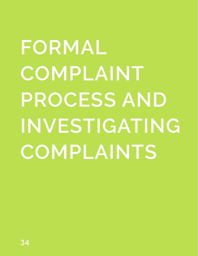# **FORMAL COMPLAINT PROCESS AND INVESTIGATING COMPLAINTS**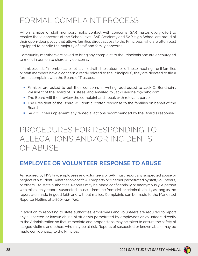# FORMAL COMPLAINT PROCESS

When families or staff members make contact with concerns, SAR makes every effort to resolve these concerns at the School level. SAR Academy and SAR High School are proud of their open-door policy that allows families direct access to the Principals, who are often best equipped to handle the majority of staff and family concerns.

Community members are asked to bring any complaint to the Principals and are encouraged to meet in person to share any concerns.

If families or staff members are not satisfied with the outcomes of these meetings, or if families or staff members have a concern directly related to the Principal(s), they are directed to file a formal complaint with the Board of Trustees.

- Families are asked to put their concerns in writing, addressed to Jack C. Bendheim, President of the Board of Trustees, and emailed to Jack.Bendheim@pahc.com.
- The Board will then review the complaint and speak with relevant parties.
- The President of the Board will draft a written response to the families on behalf of the Board.
- SAR will then implement any remedial actions recommended by the Board's response.

## PROCEDURES FOR RESPONDING TO ALLEGATIONS AND/OR INCIDENTS OF ABUSE

### **EMPLOYEE OR VOLUNTEER RESPONSE TO ABUSE**

As required by NYS law, employees and volunteers of SAR must report any suspected abuse or neglect of a student - whether on or off SAR property or whether perpetrated by staff, volunteers, or others - to state authorities. Reports may be made confidentially or anonymously. A person who mistakenly reports suspected abuse is immune from civil or criminal liability as long as the report was made in good faith and without malice. Complaints can be made to the Mandated Reporter Hotline at 1-800-342-3720.

In addition to reporting to state authorities, employees and volunteers are required to report any suspected or known abuse of students perpetrated by employees or volunteers directly to the Administration so that immediate and proper steps may be taken to ensure the safety of alleged victims and others who may be at risk. Reports of suspected or known abuse may be made confidentially to the Principal.

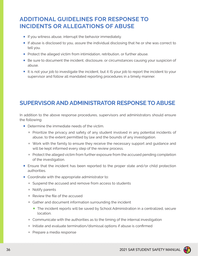## **ADDITIONAL GUIDELINES FOR RESPONSE TO INCIDENTS OR ALLEGATIONS OF ABUSE**

- If you witness abuse, interrupt the behavior immediately.
- If abuse is disclosed to you, assure the individual disclosing that he or she was correct to tell you.
- Protect the alleged victim from intimidation, retribution, or further abuse.
- Be sure to document the incident, disclosure, or circumstances causing your suspicion of abuse.
- It is not your job to investigate the incident, but it IS your job to report the incident to your supervisor and follow all mandated reporting procedures in a timely manner.

## **SUPERVISOR AND ADMINISTRATOR RESPONSE TO ABUSE**

In addition to the above response procedures, supervisors and administrators should ensure the following:

- $\blacksquare$  Determine the immediate needs of the victim.
	- Prioritize the privacy and safety of any student involved in any potential incidents of abuse, to the extent permitted by law and the bounds of any investigation.
	- Work with the family to ensure they receive the necessary support and guidance and will be kept informed every step of the review process.
	- Protect the alleged victim from further exposure from the accused pending completion of the investigation.
- Ensure that the incident has been reported to the proper state and/or child protection authorities.
- $\blacksquare$  Coordinate with the appropriate administrator to:
	- Suspend the accused and remove from access to students
	- $\blacksquare$  Notify parents
	- $\blacksquare$  Review the file of the accused
	- Gather and document information surrounding the incident
		- The incident reports will be saved by School Administration in a centralized, secure location.
	- Communicate with the authorities as to the timing of the internal investigation
	- Initiate and evaluate termination/dismissal options if abuse is confirmed
	- Prepare a media response

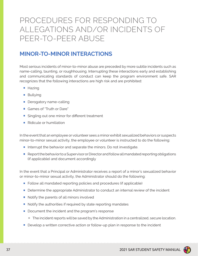## PROCEDURES FOR RESPONDING TO ALLEGATIONS AND/OR INCIDENTS OF PEER-TO-PEER ABUSE

## **MINOR-TO-MINOR INTERACTIONS**

Most serious incidents of minor-to-minor abuse are preceded by more subtle incidents such as name-calling, taunting, or roughhousing. Interrupting these interactions early and establishing and communicating standards of conduct can keep the program environment safe. SAR recognizes that the following interactions are high risk and are prohibited:

- Hazing
- Bullying
- Derogatory name-calling
- Games of "Truth or Dare"
- Singling out one minor for different treatment
- Ridicule or humiliation

In the event that an employee or volunteer sees a minor exhibit sexualized behaviors or suspects minor-to-minor sexual activity, the employee or volunteer is instructed to do the following:

- Interrupt the behavior and separate the minors. Do not investigate.
- Report the behavior to a Supervisor or Director and follow all mandated reporting obligations (if applicable) and document accordingly

In the event that a Principal or Administrator receives a report of a minor's sexualized behavior or minor-to-minor sexual activity, the Administrator should do the following:

- Follow all mandated reporting policies and procedures (if applicable)
- Determine the appropriate Administrator to conduct an internal review of the incident
- Notify the parents of all minors involved
- Notify the authorities if required by state reporting mandates
- Document the incident and the program's response
	- The incident reports will be saved by the Administration in a centralized, secure location.
- Develop a written corrective action or follow-up plan in response to the incident

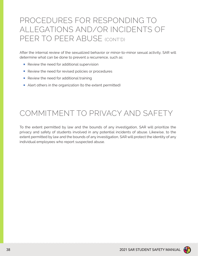## PROCEDURES FOR RESPONDING TO ALLEGATIONS AND/OR INCIDENTS OF PEER TO PEER ABUSE (CONT'D)

After the internal review of the sexualized behavior or minor-to-minor sexual activity, SAR will determine what can be done to prevent a recurrence, such as:

- $\blacksquare$  Review the need for additional supervision
- Review the need for revised policies or procedures
- $\blacksquare$  Review the need for additional training
- Alert others in the organization (to the extent permitted)

## COMMITMENT TO PRIVACY AND SAFETY

To the extent permitted by law and the bounds of any investigation, SAR will prioritize the privacy and safety of students involved in any potential incidents of abuse. Likewise, to the extent permitted by law and the bounds of any investigation, SAR will protect the identity of any individual employees who report suspected abuse.

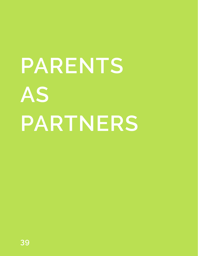# **PARENTS AS PARTNERS**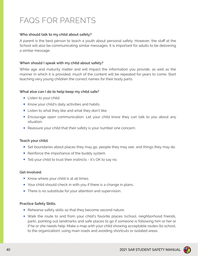# FAQS FOR PARENTS

#### **Who should talk to my child about safety?**

A parent is the best person to teach a youth about personal safety. However, the staff at the School will also be communicating similar messages. It is important for adults to be delivering a similar message.

#### **When should I speak with my child about safety?**

While age and maturity matter and will impact the information you provide, as well as the manner in which it is provided, much of the content will be repeated for years to come. Start teaching very young children the correct names for their body parts.

#### **What else can I do to help keep my child safe?**

- **E** Listen to your child.
- Know your child's daily activities and habits.
- $\blacksquare$  Listen to what they like and what they don't like.
- Encourage open communication. Let your child know they can talk to you about any situation.
- Reassure your child that their safety is your number one concern.

#### **Teach your child.**

- Set boundaries about places they may go, people they may see, and things they may do.
- $\blacksquare$  Reinforce the importance of the buddy system.
- $\blacksquare$  Tell your child to trust their instincts it's OK to say no.

#### **Get involved.**

- $\blacksquare$  Know where your child is at all times.
- Your child should check in with you if there is a change in plans.
- There is no substitute for your attention and supervision.

#### **Practice Safety Skills.**

- Rehearse safety skills so that they become second nature.
- Walk the route to and from your child's favorite places (school, neighborhood friends, park), pointing out landmarks and safe places to go if someone is following him or her or if he or she needs help. Make a map with your child showing acceptable routes (to school, to the organization), using main roads and avoiding shortcuts or isolated areas.

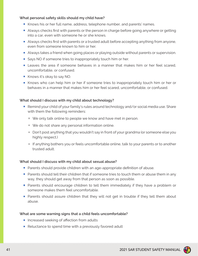#### **What personal safety skills should my child have?**

- Knows his or her full name, address, telephone number, and parents' names.
- Always checks first with parents or the person in charge before going anywhere or getting into a car, even with someone he or she knows.
- Always checks first with parents or a trusted adult before accepting anything from anyone, even from someone known to him or her.
- Always takes a friend when going places or playing outside without parents or supervision.
- Says NO if someone tries to inappropriately touch him or her.
- Leaves the area if someone behaves in a manner that makes him or her feel scared, uncomfortable, or confused.
- $\blacksquare$  Knows it's okay to say NO.
- Knows who can help him or her if someone tries to inappropriately touch him or her or behaves in a manner that makes him or her feel scared, uncomfortable, or confused.

#### **What should I discuss with my child about technology?**

- Remind your child of your family's rules around technology and/or social media use. Share with them the following reminders:
	- We only talk online to people we know and have met in person.
	- We do not share any personal information online.
	- Don't post anything that you wouldn't say in front of your grandma (or someone else you highly respect.)
	- If anything bothers you or feels uncomfortable online, talk to your parents or to another trusted adult.

#### **What should I discuss with my child about sexual abuse?**

- Parents should provide children with an age-appropriate definition of abuse.
- Parents should tell their children that if someone tries to touch them or abuse them in any way, they should get away from that person as soon as possible.
- Parents should encourage children to tell them immediately if they have a problem or someone makes them feel uncomfortable.
- Parents should assure children that they will not get in trouble if they tell them about abuse.

#### **What are some warning signs that a child feels uncomfortable?**

- $\blacksquare$  Increased seeking of affection from adults
- $\blacksquare$  Reluctance to spend time with a previously favored adult

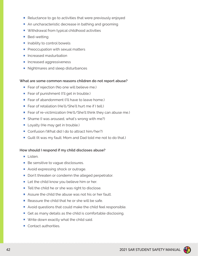- $\blacksquare$  Reluctance to go to activities that were previously enjoyed
- An uncharacteristic decrease in bathing and grooming
- Withdrawal from typical childhood activities
- $\blacksquare$  Bed-wetting
- $\blacksquare$  Inability to control bowels
- $\blacksquare$  Preoccupation with sexual matters
- Increased masturbation
- Increased aggressiveness
- Nightmares and sleep disturbances

#### **What are some common reasons children do not report abuse?**

- Fear of rejection (No one will believe me.)
- Fear of punishment (I'll get in trouble.)
- Fear of abandonment (I'll have to leave home.)
- Fear of retaliation (He'll/She'll hurt me if I tell.)
- Fear of re-victimization (He'll/She'll think they can abuse me.)
- Shame (I was aroused, what's wrong with me?)
- $\blacksquare$  Loyalty (He may get in trouble.)
- $\blacksquare$  Confusion (What did I do to attract him/her?)
- Guilt (It was my fault. Mom and Dad told me not to do that.)

### **How should I respond if my child discloses abuse?**

- Listen.
- Be sensitive to vaque disclosures.
- Avoid expressing shock or outrage.
- Don't threaten or condemn the alleged perpetrator.
- $\blacksquare$  Let the child know you believe him or her.
- $\blacksquare$  Tell the child he or she was right to disclose.
- Assure the child the abuse was not his or her fault.
- $\blacksquare$  Reassure the child that he or she will be safe.
- Avoid questions that could make the child feel responsible.
- Get as many details as the child is comfortable disclosing.
- $\blacksquare$  Write down exactly what the child said.
- Contact authorities.

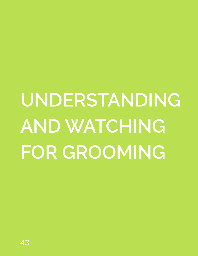# **UNDERSTANDING AND WATCHING FOR GROOMING**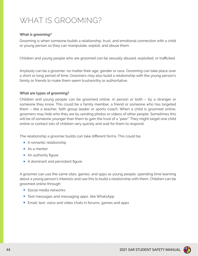## WHAT IS GROOMING?

#### **What is grooming?**

Grooming is when someone builds a relationship, trust, and emotional connection with a child or young person so they can manipulate, exploit, and abuse them.

Children and young people who are groomed can be sexually abused, exploited, or trafficked.

Anybody can be a groomer, no matter their age, gender or race. Grooming can take place over a short or long period of time. Groomers may also build a relationship with the young person's family or friends to make them seem trustworthy or authoritative.

#### **What are types of grooming?**

Children and young people can be groomed online, in person or both – by a stranger or someone they know. This could be a family member, a friend or someone who has targeted them – like a teacher, faith group leader or sports coach. When a child is groomed online, groomers may hide who they are by sending photos or videos of other people. Sometimes this will be of someone younger than them to gain the trust of a "peer". They might target one child online or contact lots of children very quickly and wait for them to respond.

The relationship a groomer builds can take different forms. This could be:

- $\blacksquare$  A romantic relationship
- $\blacksquare$  As a mentor
- An authority figure
- A dominant and persistent figure

A groomer can use the same sites, games, and apps as young people, spending time learning about a young person's interests and use this to build a relationship with them. Children can be groomed online through:

- $\blacksquare$  Social media networks
- Text messages and messaging apps, like WhatsApp
- Email, text, voice and video chats in forums, games and apps

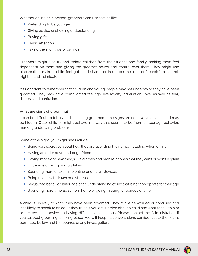Whether online or in person, groomers can use tactics like:

- $\blacksquare$  Pretending to be younger
- Giving advice or showing understanding
- Buying gifts
- Giving attention
- $\blacksquare$  Taking them on trips or outings

Groomers might also try and isolate children from their friends and family, making them feel dependent on them and giving the groomer power and control over them. They might use blackmail to make a child feel guilt and shame or introduce the idea of "secrets" to control, frighten and intimidate.

It's important to remember that children and young people may not understand they have been groomed. They may have complicated feelings, like loyalty, admiration, love, as well as fear, distress and confusion.

#### **What are signs of grooming?**

It can be difficult to tell if a child is being groomed – the signs are not always obvious and may be hidden. Older children might behave in a way that seems to be "normal" teenage behavior, masking underlying problems.

Some of the signs you might see include:

- Being very secretive about how they are spending their time, including when online
- Having an older boyfriend or girlfriend
- Having money or new things like clothes and mobile phones that they can't or won't explain
- Underage drinking or drug taking
- Spending more or less time online or on their devices
- Being upset, withdrawn or distressed
- Sexualized behavior, language or an understanding of sex that is not appropriate for their age
- Spending more time away from home or going missing for periods of time

A child is unlikely to know they have been groomed. They might be worried or confused and less likely to speak to an adult they trust. If you are worried about a child and want to talk to him or her, we have advice on having difficult conversations. Please contact the Administration if you suspect grooming is taking place. We will keep all conversations confidential to the extent permitted by law and the bounds of any investigation.

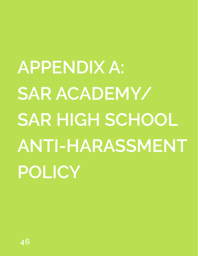# **APPENDIX A: SAR ACADEMY/ SAR HIGH SCHOOL ANTI-HARASSMENT POLICY**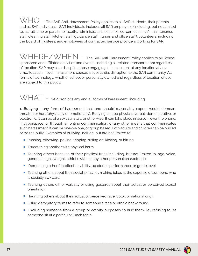$WHO$  - The SAR Anti-Harassment Policy applies to all SAR students, their parents and all SAR Individuals. SAR Individuals includes all SAR employees (including, but not limited to, all full-time or part-time faculty, administrators, coaches, co-curricular staff, maintenance staff, cleaning staff, kitchen staff, guidance staff, nurses and office staff), volunteers, including the Board of Trustees, and employees of contracted service providers working for SAR.

WHERE/WHEN - The SAR Anti-Harassment Policy applies to all School sponsored and affiliated activities and events (including all related transportation) regardless of location. SAR may also discipline those engaging in harassment at any location at any time/location if such harassment causes a substantial disruption to the SAR community. All forms of technology, whether school or personally owned and regardless of location of use are subject to this policy.

## $WHAT -$  SAR prohibits any and all forms of harassment, including:

**1. Bullying -** any form of harassment that one should reasonably expect would demean, threaten or hurt (physically or emotionally). Bullying can be physical, verbal, demonstrative, or electronic. It can be of a sexual nature or otherwise. It can take place in person, over the phone, in cyberspace, or through an online communication, or any other means that communicates such harassment. It can be one-on-one, or group based. Both adults and children can be bullied or be the bully. Examples of bullying include, but are not limited to:

- Pushing, elbowing, poking, tripping, sitting on, kicking, or hitting
- $\blacksquare$  Threatening another with physical harm
- Taunting others because of their physical traits including, but not limited to, age, voice, gender, height, weight, athletic skill, or any other personal characteristic
- Demeaning others' intellectual ability, academic performance, or grade level
- Taunting others about their social skills, i.e., making jokes at the expense of someone who is socially awkward
- Taunting others either verbally or using gestures about their actual or perceived sexual orientation
- Taunting others about their actual or perceived race, color, or national origin
- Using derogatory terms to refer to someone's race or ethnic background
- Excluding someone from a group or activity purposely to hurt them, i.e., refusing to let someone sit at a particular lunch table

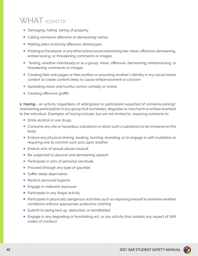- Damaging, hiding, taking of property
- Calling someone offensive or demeaning names
- Making jokes involving offensive stereotypes
- Posting on Facebook, or any other online social networking site, mean, offensive, demeaning, embarrassing, or threatening comments or images
- Texting, whether individually or as a group, mean, offensive, demeaning, embarrassing, or threatening comments or images
- Creating fake web pages or fake profiles or assuming another's identity in any social media context to create content likely to cause embarrassment or concern
- Spreading mean and hurtful rumors verbally or online
- Creating offensive graffiti

**2. Hazing -** an activity (regardless of willingness to participate) expected of someone joining/ maintaining participation in any group that humiliates, degrades or risks harm or embarrassment to the individual. Examples of hazing include, but are not limited to, requiring someone to:

- Drink alcohol or use drugs
- Consume any vile or hazardous substance or allow such a substance to be smeared on the body
- Endure any physical striking, beating, burning, branding, or to engage in self-mutilation or requiring one to commit such acts upon another
- $\blacksquare$  Endure acts of sexual abuse/assault
- $\blacksquare$  Be subjected to abusive and demeaning speech
- Participate in acts of personal servitude
- Proceed through any type of gauntlet
- Suffer sleep deprivation
- $\blacksquare$  Restrict personal hygiene
- Engage in indecent exposure
- Participate in any illegal activity
- Participate in physically dangerous activities such as exposing oneself to extreme weather conditions without appropriate protective clothing
- Submit to being tied up, abducted, or blindfolded
- Engage in any degrading or humiliating act, or any activity that violates any aspect of SAR codes of conduct

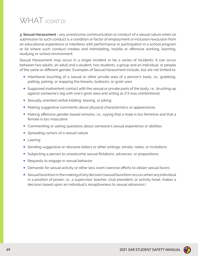**3. Sexual Harassment -** any unwelcome communication or conduct of a sexual nature when (a) submission to such conduct is a condition or factor of employment or inclusion/exclusion from an educational experience or interferes with performance or participation in a school program or (b) where such conduct creates and intimidating, hostile or offensive working, learning, studying or school environment.

Sexual Harassment may occur in a single incident or be a series of incidents. It can occur between two adults, an adult and a student, two students, a group and an individual, or people of the same or different gender. Examples of Sexual Harassment include, but are not limited to:

- Intentional touching of a sexual or other private area of a person's body, i.e., grabbing, patting, poking, or slapping the breasts, buttocks, or groin area
- Supposed inadvertent contact with the sexual or private parts of the body, i.e., brushing up against someone's leg with one's groin area and acting as if it was unintentional
- Sexually oriented verbal kidding, teasing, or joking
- Making suggestive comments about physical characteristics or appearances
- Making offensive gender-based remarks, i.e., saying that a male is too feminine and that a female is too masculine
- Commenting or asking questions about someone's sexual experience or abilities
- Spreading rumors of a sexual nature
- Leering
- Sending suggestive or obscene letters or other writings, emails, notes, or invitations
- Subjecting a person to unwelcome sexual flirtations, advances, or propositions
- Requests to engage in sexual behavior
- Demands for sexual activity or other less overt coercive efforts to obtain sexual favors
- $\blacksquare$  Sexual favoritism in the making of any decision (sexual favoritism occurs when any individual in a position of power, i.e., a supervisor, teacher, club president, or activity head, makes a decision based upon an individual's receptiveness to sexual advances.)

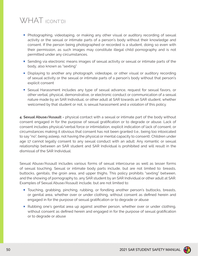- Photographing, videotaping, or making any other visual or auditory recording of sexual activity or the sexual or intimate parts of a person's body without their knowledge and consent. If the person being photographed or recorded is a student, doing so even with their permission, as such images may constitute illegal child pornography and is not permitted under any circumstances.
- Sending via electronic means images of sexual activity or sexual or intimate parts of the body, also known as "sexting"
- Displaying to another any photograph, videotape, or other visual or auditory recording of sexual activity or the sexual or intimate parts of a person's body without that person's explicit consent
- Sexual Harassment includes any type of sexual advance, request for sexual favors, or other verbal, physical, demonstrative, or electronic conduct or communication of a sexual nature made by an SAR Individual, or other adult at SAR towards an SAR student, whether welcomed by that student or not, is sexual harassment and a violation of this policy.

**4. Sexual Abuse/Assault -** physical contact with a sexual or intimate part of the body without consent engaged in for the purpose of sexual gratification or to degrade or abuse. Lack of consent includes physical/verbal force or intimidation, explicit indication of lack of consent, or circumstances making it obvious that consent has not been granted (i.e., being too intoxicated to say "no", being asleep, not having the physical or mental capacity to consent). Children under age 17 cannot legally consent to any sexual conduct with an adult. Any romantic or sexual relationship between an SAR student and SAR Individual is prohibited and will result in the dismissal of the SAR Individual.

Sexual Abuse/Assault includes various forms of sexual intercourse as well as lesser forms of sexual touching. Sexual or intimate body parts include, but are not limited to: breasts, buttocks, genitals, the groin area, and upper thighs. This policy prohibits "sexting" between, and the showing of pornography to, any SAR student by an SAR Individual or other adult at SAR. Examples of Sexual Abuse/Assault include, but are not limited to:

- Touching, grabbing, pinching, rubbing, or fondling another person's buttocks, breasts, or genital area, whether over or under clothing, without consent as defined herein and engaged in for the purpose of sexual gratification or to degrade or abuse
- Rubbing one's genital area up against another person, whether over or under clothing, without consent as defined herein and engaged in for the purpose of sexual gratification or to degrade or abuse

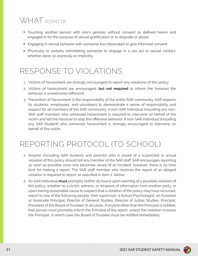- Touching another person with one's genitals without consent as defined herein and engaged in for the purpose of sexual gratification or to degrade or abuse
- Engaging in sexual behavior with someone too intoxicated to give informed consent
- Physically or verbally intimidating someone to engage in a sex act or sexual contact, whether done so expressly or implicitly

## RESPONSE TO VIOLATIONS

- 1. Victims of harassment are strongly encouraged to report any violations of this policy.
- 2. Victims of harassment are encouraged, **but not required** to inform the harasser the behavior is unwelcome/offensive.
- 3. Prevention of harassment is the responsibility of the entire SAR community. SAR expects its students, employees, and volunteers to demonstrate a sense of responsibility and respect for all members of the SAR community. A non-SAR Individual (including any non-SAR staff member) who witnesses harassment is required to intervene on behalf of the victim and tell the harasser to stop the offensive behavior. A non-SAR Individual (including any SAR Student) who witnesses harassment is strongly encouraged to intervene on behalf of the victim.

## REPORTING PROTOCOL (TO SCHOOL)

- 1. Anyone (including SAR students and parents) who is aware of a suspected or actual violation of this policy should tell any member of the SAR staff. SAR encourages reporting as soon as possible once one becomes aware of an incident, however, there is no time limit for making a report. The SAR staff member who receives the report of an alleged violation is required to report as specified in item 2, below.
- 2. An SAR Individual **must** promptly (within 25 hours) upon learning of a possible violation of this policy, whether as a victim, witness, or recipient of information from another party, or upon having reasonable cause to suspect that a violation of the policy may have occurred, report to one of the following people: their supervisor, a School Psychologist, an Assistant or Associate Principal, Director of General Studies, Director of Judaic Studies, Principal, President of the Board of Trustees. In all cases, if anyone other than the Principal is notified, that person must promptly inform the Principal of the report, unless the violation involves the Principal, in which case the Board of Trustees must be notified immediately.

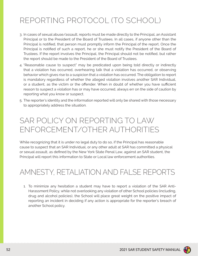## REPORTING PROTOCOL (TO SCHOOL)

- 3. In cases of sexual abuse/assault, reports must be made directly to the Principal, an Assistant Principal or to the President of the Board of Trustees. In all cases, if anyone other than the Principal is notified, that person must promptly inform the Principal of the report. Once the Principal is notified of such a report, he or she must notify the President of the Board of Trustees. If the report involves the Principal, the Principal should not be notified, but rather the report should be made to the President of the Board of Trustees.
- 4. "Reasonable cause to suspect" may be predicated upon being told directly or indirectly that a violation has occurred, overhearing talk that a violation has occurred, or observing behavior which gives rise to a suspicion that a violation has occurred. The obligation to report is mandatory regardless of whether the alleged violation involves another SAR Individual, or a student, as the victim or the offender. When in doubt of whether you have sufficient reason to suspect a violation has or may have occurred, always err on the side of caution by reporting what you know or suspect.
- 5. The reporter's identity and the information reported will only be shared with those necessary to appropriately address the situation.

## SAR POLICY ON REPORTING TO LAW ENFORCEMENT/OTHER AUTHORITIES

While recognizing that it is under no legal duty to do so, if the Principal has reasonable cause to suspect that an SAR Individual, or any other adult at SAR has committed a physical or sexual assault, as defined by the New York State Penal Law, against an SAR student, the Principal will report this information to State or Local law enforcement authorities.

## AMNESTY, RETALIATION AND FALSE REPORTS

1. To minimize any hesitation a student may have to report a violation of the SAR Anti-Harassment Policy, while not overlooking any violation of other School policies (including, drug and alcohol policies), the School will place great weight on the positive impact of reporting an incident in deciding if any action is appropriate for the reporter's breach of another School policy.

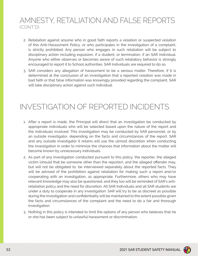## AMNESTY, RETALIATION AND FALSE REPORTS (CONT'D)

- 2. Retaliation against anyone who in good faith reports a violation or suspected violation of this Anti-Harassment Policy, or who participates in the investigation of a complaint, is strictly prohibited. Any person who engages in such retaliation will be subject to disciplinary action including expulsion, if a student, or termination, if an SAR Individual. Anyone who either observes or becomes aware of such retaliatory behavior is strongly encouraged to report it to School authorities. SAR Individuals are required to do so.
- 3. SAR considers any allegation of harassment to be a serious matter. Therefore, if it is determined at the conclusion of an investigation that a reported violation was made in bad faith or that false information was knowingly provided regarding the complaint, SAR will take disciplinary action against such individual.

## INVESTIGATION OF REPORTED INCIDENTS

- 1. After a report is made, the Principal will direct that an investigation be conducted by appropriate individuals who will be selected based upon the nature of the report and the individuals involved. This investigation may be conducted by SAR personnel, or by an outside investigator, depending on the facts and circumstances of the report. SAR and any outside investigator it retains will use the utmost discretion when conducting the investigation in order to minimize the chances that information about the matter will become known by unnecessary individuals.
- 2. As part of any investigation conducted pursuant to this policy, the reporter, the alleged victim (should that be someone other than the reporter), and the alleged offender may, but will not be obligated to, be interviewed separately about the reported facts. They will be advised of the prohibition against retaliation for making such a report and/or cooperating with an investigation, as appropriate. Furthermore, others who may have relevant knowledge may also be questioned, and they too will be reminded of SAR's antiretaliation policy and the need for discretion. All SAR Individuals and all SAR students are under a duty to cooperate in any investigation. SAR will try to be as discreet as possible during the investigation and confidentiality will be maintained to the extent possible given the facts and circumstances of the complaint and the need to do a fair and thorough investigation.
- 3. Nothing in this policy is intended to limit the options of any person who believes that he or she has been subject to unlawful harassment or discrimination.

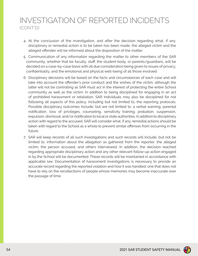## INVESTIGATION OF REPORTED INCIDENTS (CONT'D)

- 4. At the conclusion of the investigation, and after the decision regarding what, if any, disciplinary or remedial action is to be taken has been made, the alleged victim and the alleged offender will be informed about the disposition of the matter.
- 5. Communication of any information regarding the matter to other members of the SAR community, whether that be faculty, staff, the student body, or parents/guardians, will be decided on a case-by-case basis with all due consideration being given to issues of privacy, confidentiality, and the emotional and physical well-being of all those involved.
- 6. Disciplinary decisions will be based on the facts and circumstances of each case and will take into account the offender's prior conduct and the wishes of the victim, although the latter will not be controlling as SAR must act in the interest of protecting the entire School community as well as the victim. In addition to being disciplined for engaging in an act of prohibited harassment or retaliation, SAR Individuals may also be disciplined for not following all aspects of this policy, including but not limited to, the reporting protocols. Possible disciplinary outcomes include, but are not limited to: a verbal warning, parental notification, loss of privileges, counseling, sensitivity training, probation, suspension, expulsion, dismissal, and/or notification to local or state authorities. In addition to disciplinary action with regard to the accused, SAR will consider what, if any, remedial actions should be taken with regard to the School as a whole to prevent similar offenses from occurring in the future.
- 7. SAR will keep records of all such investigations and such records will include, but not be limited to, information about the allegation as gathered from the reporter, the alleged victim, the person accused, and others interviewed. In addition, the decision reached regarding appropriate disciplinary action and any other relevant follow-up action engaged in by the School will be documented. These records will be maintained in accordance with applicable law. Documentation of harassment investigations is necessary to provide an accurate record regarding the reported violation and how it was handled, one that does not have to rely on the recollections of people whose memories may become inaccurate over the passage of time.

40

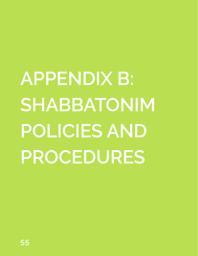**APPENDIX B: SHABBATONIM POLICIES AND PROCEDURES**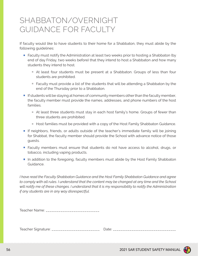## SHABBATON/OVERNIGHT GUIDANCE FOR FACULTY

If faculty would like to have students to their home for a Shabbaton, they must abide by the following guidelines:

- Faculty must notify the Administration at least two weeks prior to hosting a Shabbaton (by end of day Friday, two weeks before) that they intend to host a Shabbaton and how many students they intend to host.
	- At least four students must be present at a Shabbaton. Groups of less than four students are prohibited.
	- $\blacksquare$  Faculty must provide a list of the students that will be attending a Shabbaton by the end of the Thursday prior to a Shabbaton.
- If students will be staying at homes of community members other than the faculty member, the faculty member must provide the names, addresses, and phone numbers of the host families.
	- At least three students must stay in each host family's home. Groups of fewer than three students are prohibited.
	- $\blacksquare$  Host families must be provided with a copy of the Host Family Shabbaton Guidance.
- If neighbors, friends, or adults outside of the teacher's immediate family will be joining for Shabbat, the faculty member should provide the School with advance notice of those guests.
- Faculty members must ensure that students do not have access to alcohol, drugs, or tobacco, including vaping products.
- In addition to the foregoing, faculty members must abide by the Host Family Shabbaton Guidance.

*I have read the Faculty Shabbaton Guidance and the Host Family Shabbaton Guidance and agree to comply with all rules. I understand that the content may be changed at any time and the School will notify me of these changes. I understand that it is my responsibility to notify the Administration if any students are in any way disrespectful.* 

Teacher Name: \_\_\_\_\_\_\_\_\_\_\_\_\_\_\_\_\_\_\_\_\_\_\_\_\_\_\_\_\_

Teacher Signature: \_\_\_\_\_\_\_\_\_\_\_\_\_\_\_\_\_\_\_\_\_\_\_\_\_\_\_ Date: \_\_\_\_\_\_\_\_\_\_\_\_\_\_\_\_\_\_\_\_\_\_\_\_\_\_\_\_

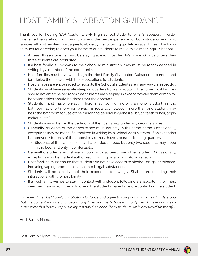# HOST FAMILY SHABBATON GUIDANCE

Thank you for hosting SAR Academy/SAR High School students for a Shabbaton. In order to ensure the safety of our community and the best experience for both students and host families, all host families must agree to abide by the following guidelines at all times. Thank you so much for agreeing to open your home to our students to make this a meaningful Shabbat.

- At least three students must be staying at each host family's home. Groups of less than three students are prohibited.
- **If a host family is unknown to the School Administration, they must be recommended in** writing by a member of the community.
- Host families must review and sign the Host Family Shabbaton Guidance document and familiarize themselves with the expectations for students.
- $\blacksquare$  Host families are encouraged to report to the School if students are in any way disrespectful.
- Students must have separate sleeping quarters from any adults in the home. Host families should not enter the bedroom that students are sleeping in except to wake them or monitor behavior, which should be done from the doorway.
- **B** Students must have privacy. There may be no more than one student in the bathroom at one time when privacy is required; however, more than one student may be in the bathroom for use of the mirror and general hygiene (i.e., brush teeth or hair, apply makeup, etc.).
- Students may not enter the bedroom of the host family under any circumstances.
- Generally, students of the opposite sex must not stay in the same home. Occasionally, exceptions may be made if authorized in writing by a School Administrator. If an exception is approved, students of the opposite sex must have separate sleeping quarters.
	- Students of the same sex may share a double bed, but only two students may sleep in the bed, and only if comfortable.
- Generally, students will share a room with at least one other student. Occasionally, exceptions may be made if authorized in writing by a School Administrator.
- Host families must ensure that students do not have access to alcohol, drugs, or tobacco, including vaping products, or any other illegal substances.
- Students will be asked about their experience following a Shabbaton, including their interactions with the host family.
- If a host family wishes to stay in contact with a student following a Shabbaton, they must seek permission from the School and the student's parents before contacting the student.

*I have read the Host Family Shabbaton Guidance and agree to comply with all rules. I understand*  that the content may be changed at any time and the School will notify me of these changes. I *understand that it is my responsibility to notify the School if any students are in any way disrespectful.* 

Host Family Name: \_\_\_\_\_\_\_\_\_\_\_\_\_\_\_\_\_\_\_\_\_\_\_\_\_\_\_\_\_\_\_\_\_

Host Family Signature: \_\_\_\_\_\_\_\_\_\_\_\_\_\_\_\_\_\_\_\_\_\_\_\_\_\_\_\_\_ Date: \_\_\_\_\_\_\_\_\_\_\_\_\_\_\_\_\_\_\_\_\_\_\_\_